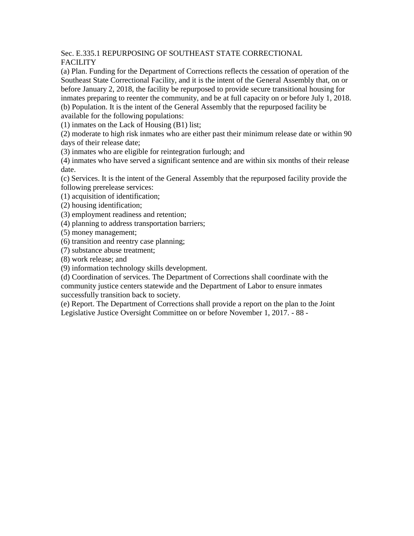## Sec. E.335.1 REPURPOSING OF SOUTHEAST STATE CORRECTIONAL FACILITY

(a) Plan. Funding for the Department of Corrections reflects the cessation of operation of the Southeast State Correctional Facility, and it is the intent of the General Assembly that, on or before January 2, 2018, the facility be repurposed to provide secure transitional housing for inmates preparing to reenter the community, and be at full capacity on or before July 1, 2018.

(b) Population. It is the intent of the General Assembly that the repurposed facility be available for the following populations:

(1) inmates on the Lack of Housing (B1) list;

(2) moderate to high risk inmates who are either past their minimum release date or within 90 days of their release date;

(3) inmates who are eligible for reintegration furlough; and

(4) inmates who have served a significant sentence and are within six months of their release date.

(c) Services. It is the intent of the General Assembly that the repurposed facility provide the following prerelease services:

(1) acquisition of identification;

(2) housing identification;

(3) employment readiness and retention;

(4) planning to address transportation barriers;

(5) money management;

(6) transition and reentry case planning;

(7) substance abuse treatment;

(8) work release; and

(9) information technology skills development.

(d) Coordination of services. The Department of Corrections shall coordinate with the community justice centers statewide and the Department of Labor to ensure inmates successfully transition back to society.

(e) Report. The Department of Corrections shall provide a report on the plan to the Joint Legislative Justice Oversight Committee on or before November 1, 2017. - 88 -